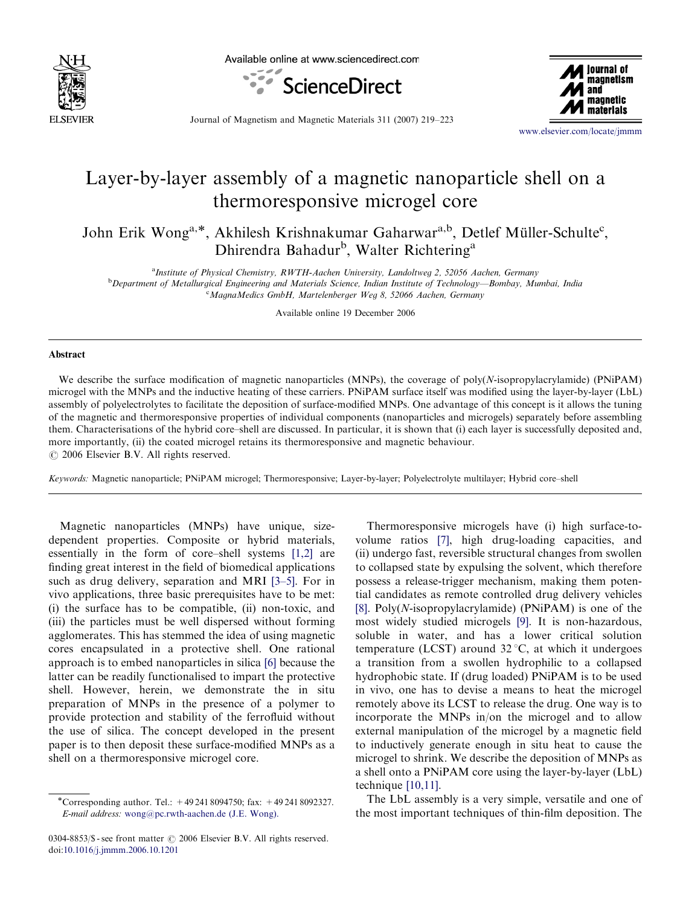

Available online at www.sciencedirect.com





Journal of Magnetism and Magnetic Materials 311 (2007) 219–223

<www.elsevier.com/locate/jmmm>

## Layer-by-layer assembly of a magnetic nanoparticle shell on a thermoresponsive microgel core

John Erik Wong<sup>a,\*</sup>, Akhilesh Krishnakumar Gaharwar<sup>a,b</sup>, Detlef Müller-Schulte<sup>c</sup>, Dhirendra Bahadur<sup>b</sup>, Walter Richtering<sup>a</sup>

<sup>a</sup>Institute of Physical Chemistry, RWTH-Aachen University, Landoltweg 2, 52056 Aachen, Germany

b Department of Metallurgical Engineering and Materials Science, Indian Institute of Technology—Bombay, Mumbai, India <sup>c</sup>MagnaMedics GmbH, Martelenberger Weg 8, 52066 Aachen, Germany

Available online 19 December 2006

## Abstract

We describe the surface modification of magnetic nanoparticles (MNPs), the coverage of poly(N-isopropylacrylamide) (PNiPAM) microgel with the MNPs and the inductive heating of these carriers. PNiPAM surface itself was modified using the layer-by-layer (LbL) assembly of polyelectrolytes to facilitate the deposition of surface-modified MNPs. One advantage of this concept is it allows the tuning of the magnetic and thermoresponsive properties of individual components (nanoparticles and microgels) separately before assembling them. Characterisations of the hybrid core–shell are discussed. In particular, it is shown that (i) each layer is successfully deposited and, more importantly, (ii) the coated microgel retains its thermoresponsive and magnetic behaviour.  $\odot$  2006 Elsevier B.V. All rights reserved.

Keywords: Magnetic nanoparticle; PNiPAM microgel; Thermoresponsive; Layer-by-layer; Polyelectrolyte multilayer; Hybrid core–shell

Magnetic nanoparticles (MNPs) have unique, sizedependent properties. Composite or hybrid materials, essentially in the form of core–shell systems [\[1,2\]](#page-4-0) are finding great interest in the field of biomedical applications such as drug delivery, separation and MRI [\[3–5\]](#page-4-0). For in vivo applications, three basic prerequisites have to be met: (i) the surface has to be compatible, (ii) non-toxic, and (iii) the particles must be well dispersed without forming agglomerates. This has stemmed the idea of using magnetic cores encapsulated in a protective shell. One rational approach is to embed nanoparticles in silica [\[6\]](#page-4-0) because the latter can be readily functionalised to impart the protective shell. However, herein, we demonstrate the in situ preparation of MNPs in the presence of a polymer to provide protection and stability of the ferrofluid without the use of silica. The concept developed in the present paper is to then deposit these surface-modified MNPs as a shell on a thermoresponsive microgel core.

Thermoresponsive microgels have (i) high surface-tovolume ratios [\[7\],](#page-4-0) high drug-loading capacities, and (ii) undergo fast, reversible structural changes from swollen to collapsed state by expulsing the solvent, which therefore possess a release-trigger mechanism, making them potential candidates as remote controlled drug delivery vehicles [\[8\].](#page-4-0) Poly(N-isopropylacrylamide) (PNiPAM) is one of the most widely studied microgels [\[9\]](#page-4-0). It is non-hazardous, soluble in water, and has a lower critical solution temperature (LCST) around  $32^{\circ}$ C, at which it undergoes a transition from a swollen hydrophilic to a collapsed hydrophobic state. If (drug loaded) PNiPAM is to be used in vivo, one has to devise a means to heat the microgel remotely above its LCST to release the drug. One way is to incorporate the MNPs in/on the microgel and to allow external manipulation of the microgel by a magnetic field to inductively generate enough in situ heat to cause the microgel to shrink. We describe the deposition of MNPs as a shell onto a PNiPAM core using the layer-by-layer (LbL) technique [\[10,11\]](#page-4-0).

The LbL assembly is a very simple, versatile and one of the most important techniques of thin-film deposition. The

<sup>-</sup>Corresponding author. Tel.: +49 241 8094750; fax: +49 241 8092327. E-mail address: [wong@pc.rwth-aachen.de \(J.E. Wong\).](mailto:wong@pc.rwth-aachen.de)

<sup>0304-8853/\$ -</sup> see front matter  $\odot$  2006 Elsevier B.V. All rights reserved. doi:[10.1016/j.jmmm.2006.10.1201](dx.doi.org/10.1016/j.jmmm.2006.10.1201)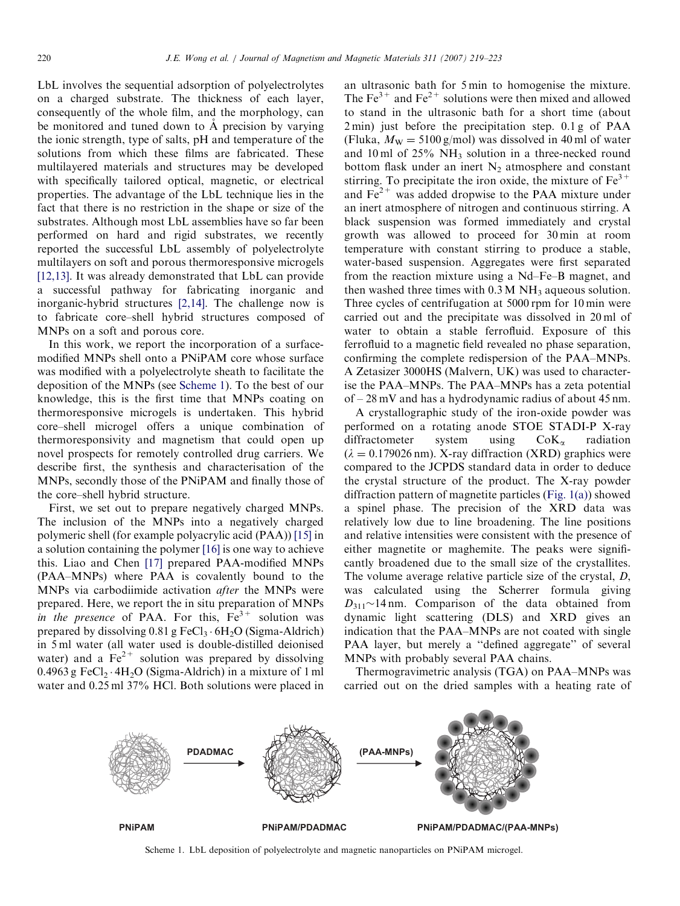LbL involves the sequential adsorption of polyelectrolytes on a charged substrate. The thickness of each layer, consequently of the whole film, and the morphology, can be monitored and tuned down to A precision by varying the ionic strength, type of salts, pH and temperature of the solutions from which these films are fabricated. These multilayered materials and structures may be developed with specifically tailored optical, magnetic, or electrical properties. The advantage of the LbL technique lies in the fact that there is no restriction in the shape or size of the substrates. Although most LbL assemblies have so far been performed on hard and rigid substrates, we recently reported the successful LbL assembly of polyelectrolyte multilayers on soft and porous thermoresponsive microgels [\[12,13\].](#page-4-0) It was already demonstrated that LbL can provide a successful pathway for fabricating inorganic and inorganic-hybrid structures [\[2,14\]](#page-4-0). The challenge now is to fabricate core–shell hybrid structures composed of MNPs on a soft and porous core.

In this work, we report the incorporation of a surfacemodified MNPs shell onto a PNiPAM core whose surface was modified with a polyelectrolyte sheath to facilitate the deposition of the MNPs (see Scheme 1). To the best of our knowledge, this is the first time that MNPs coating on thermoresponsive microgels is undertaken. This hybrid core–shell microgel offers a unique combination of thermoresponsivity and magnetism that could open up novel prospects for remotely controlled drug carriers. We describe first, the synthesis and characterisation of the MNPs, secondly those of the PNiPAM and finally those of the core–shell hybrid structure.

First, we set out to prepare negatively charged MNPs. The inclusion of the MNPs into a negatively charged polymeric shell (for example polyacrylic acid (PAA)) [\[15\]](#page-4-0) in a solution containing the polymer [\[16\]](#page-4-0) is one way to achieve this. Liao and Chen [\[17\]](#page-4-0) prepared PAA-modified MNPs (PAA–MNPs) where PAA is covalently bound to the MNPs via carbodiimide activation after the MNPs were prepared. Here, we report the in situ preparation of MNPs in the presence of PAA. For this,  $Fe<sup>3+</sup>$  solution was prepared by dissolving  $0.81$  g FeCl<sub>3</sub>  $\cdot$  6H<sub>2</sub>O (Sigma-Aldrich) in 5 ml water (all water used is double-distilled deionised water) and a  $Fe^{2+}$  solution was prepared by dissolving  $0.4963$  g FeCl<sub>2</sub> $\cdot$  4H<sub>2</sub>O (Sigma-Aldrich) in a mixture of 1 ml water and  $0.25$  ml 37% HCl. Both solutions were placed in

an ultrasonic bath for 5 min to homogenise the mixture. The  $Fe<sup>3+</sup>$  and  $Fe<sup>2+</sup>$  solutions were then mixed and allowed to stand in the ultrasonic bath for a short time (about 2 min) just before the precipitation step. 0.1 g of PAA (Fluka,  $M_{\text{W}} = 5100 \text{ g/mol}$ ) was dissolved in 40 ml of water and 10 ml of  $25\%$  NH<sub>3</sub> solution in a three-necked round bottom flask under an inert  $N_2$  atmosphere and constant stirring. To precipitate the iron oxide, the mixture of  $Fe<sup>3+</sup>$ and  $Fe<sup>2+</sup>$  was added dropwise to the PAA mixture under an inert atmosphere of nitrogen and continuous stirring. A black suspension was formed immediately and crystal growth was allowed to proceed for 30 min at room temperature with constant stirring to produce a stable, water-based suspension. Aggregates were first separated from the reaction mixture using a Nd–Fe–B magnet, and then washed three times with  $0.3 M NH<sub>3</sub>$  aqueous solution. Three cycles of centrifugation at 5000 rpm for 10 min were carried out and the precipitate was dissolved in 20 ml of water to obtain a stable ferrofluid. Exposure of this ferrofluid to a magnetic field revealed no phase separation, confirming the complete redispersion of the PAA–MNPs. A Zetasizer 3000HS (Malvern, UK) was used to characterise the PAA–MNPs. The PAA–MNPs has a zeta potential of – 28 mV and has a hydrodynamic radius of about 45 nm.

A crystallographic study of the iron-oxide powder was performed on a rotating anode STOE STADI-P X-ray diffractometer system using  $CoK_{\alpha}$  radiation  $(\lambda = 0.179026 \text{ nm})$ . X-ray diffraction (XRD) graphics were compared to the JCPDS standard data in order to deduce the crystal structure of the product. The X-ray powder diffraction pattern of magnetite particles [\(Fig. 1\(a\)](#page-2-0)) showed a spinel phase. The precision of the XRD data was relatively low due to line broadening. The line positions and relative intensities were consistent with the presence of either magnetite or maghemite. The peaks were significantly broadened due to the small size of the crystallites. The volume average relative particle size of the crystal, D, was calculated using the Scherrer formula giving  $D_{311}$ ~14 nm. Comparison of the data obtained from dynamic light scattering (DLS) and XRD gives an indication that the PAA–MNPs are not coated with single PAA layer, but merely a ''defined aggregate'' of several MNPs with probably several PAA chains.

Thermogravimetric analysis (TGA) on PAA–MNPs was carried out on the dried samples with a heating rate of



Scheme 1. LbL deposition of polyelectrolyte and magnetic nanoparticles on PNiPAM microgel.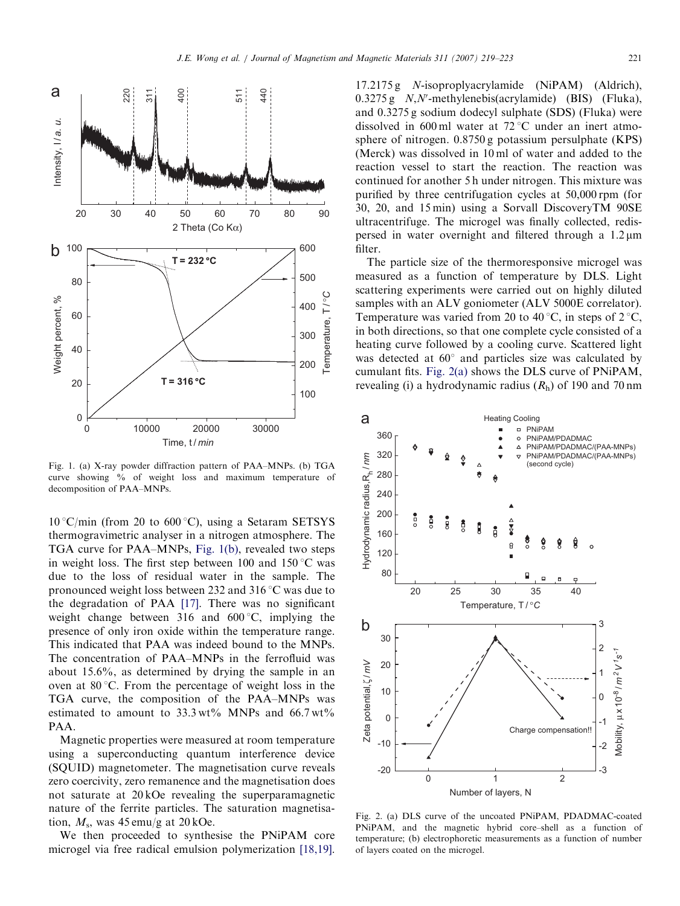<span id="page-2-0"></span>

Fig. 1. (a) X-ray powder diffraction pattern of PAA–MNPs. (b) TGA curve showing % of weight loss and maximum temperature of decomposition of PAA–MNPs.

 $10^{\circ}$ C/min (from 20 to 600 $^{\circ}$ C), using a Setaram SETSYS thermogravimetric analyser in a nitrogen atmosphere. The TGA curve for PAA–MNPs, Fig. 1(b), revealed two steps in weight loss. The first step between 100 and  $150^{\circ}$ C was due to the loss of residual water in the sample. The pronounced weight loss between 232 and 316 $\degree$ C was due to the degradation of PAA [\[17\]](#page-4-0). There was no significant weight change between 316 and  $600^{\circ}$ C, implying the presence of only iron oxide within the temperature range. This indicated that PAA was indeed bound to the MNPs. The concentration of PAA–MNPs in the ferrofluid was about 15.6%, as determined by drying the sample in an oven at  $80^{\circ}$ C. From the percentage of weight loss in the TGA curve, the composition of the PAA–MNPs was estimated to amount to  $33.3 \text{ wt\%}$  MNPs and  $66.7 \text{ wt\%}$ PAA.

Magnetic properties were measured at room temperature using a superconducting quantum interference device (SQUID) magnetometer. The magnetisation curve reveals zero coercivity, zero remanence and the magnetisation does not saturate at 20 kOe revealing the superparamagnetic nature of the ferrite particles. The saturation magnetisation,  $M_s$ , was 45 emu/g at 20 kOe.

We then proceeded to synthesise the PNiPAM core microgel via free radical emulsion polymerization [\[18,19\].](#page-4-0) 17.2175 g N-isoproplyacrylamide (NiPAM) (Aldrich),  $0.3275$  g  $N$ ,  $N'$ -methylenebis(acrylamide) (BIS) (Fluka), and 0.3275 g sodium dodecyl sulphate (SDS) (Fluka) were dissolved in 600 ml water at  $72^{\circ}$ C under an inert atmosphere of nitrogen. 0.8750 g potassium persulphate (KPS) (Merck) was dissolved in 10 ml of water and added to the reaction vessel to start the reaction. The reaction was continued for another 5 h under nitrogen. This mixture was purified by three centrifugation cycles at 50,000 rpm (for 30, 20, and 15 min) using a Sorvall DiscoveryTM 90SE ultracentrifuge. The microgel was finally collected, redispersed in water overnight and filtered through a  $1.2 \mu m$ filter.

The particle size of the thermoresponsive microgel was measured as a function of temperature by DLS. Light scattering experiments were carried out on highly diluted samples with an ALV goniometer (ALV 5000E correlator). Temperature was varied from 20 to 40 °C, in steps of  $2$  °C, in both directions, so that one complete cycle consisted of a heating curve followed by a cooling curve. Scattered light was detected at  $60^{\circ}$  and particles size was calculated by cumulant fits. Fig. 2(a) shows the DLS curve of PNiPAM, revealing (i) a hydrodynamic radius  $(R<sub>h</sub>)$  of 190 and 70 nm



Fig. 2. (a) DLS curve of the uncoated PNiPAM, PDADMAC-coated PNiPAM, and the magnetic hybrid core–shell as a function of temperature; (b) electrophoretic measurements as a function of number of layers coated on the microgel.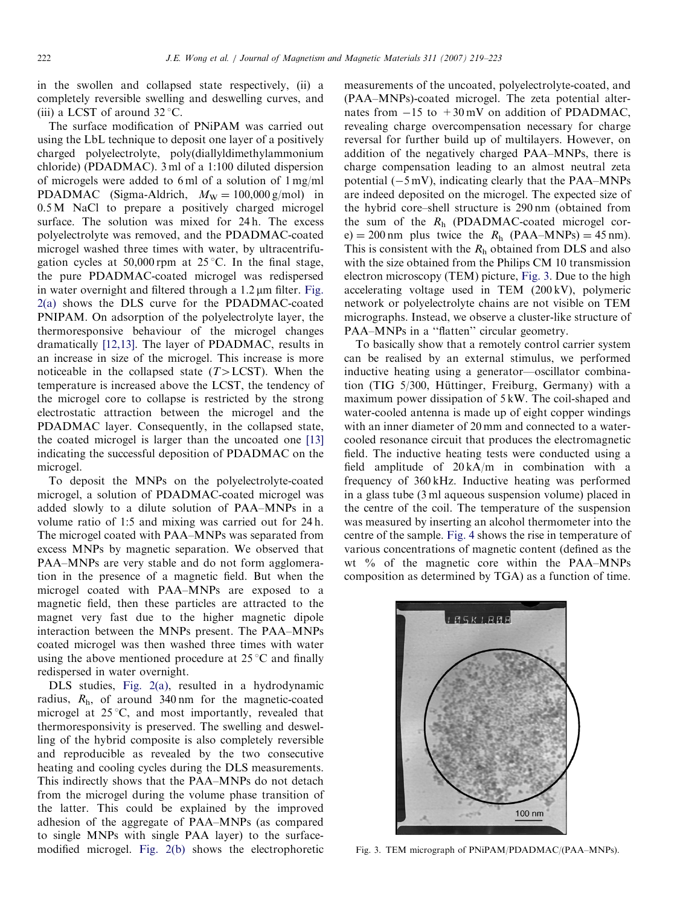in the swollen and collapsed state respectively, (ii) a completely reversible swelling and deswelling curves, and (iii) a LCST of around  $32^{\circ}$ C.

The surface modification of PNiPAM was carried out using the LbL technique to deposit one layer of a positively charged polyelectrolyte, poly(diallyldimethylammonium chloride) (PDADMAC). 3 ml of a 1:100 diluted dispersion of microgels were added to 6 ml of a solution of 1 mg/ml PDADMAC (Sigma-Aldrich,  $M_W = 100,000 \text{ g/mol}$ ) in 0.5 M NaCl to prepare a positively charged microgel surface. The solution was mixed for 24h. The excess polyelectrolyte was removed, and the PDADMAC-coated microgel washed three times with water, by ultracentrifugation cycles at 50,000 rpm at  $25^{\circ}$ C. In the final stage, the pure PDADMAC-coated microgel was redispersed in water overnight and filtered through a  $1.2 \mu m$  filter. [Fig.](#page-2-0) [2\(a\)](#page-2-0) shows the DLS curve for the PDADMAC-coated PNIPAM. On adsorption of the polyelectrolyte layer, the thermoresponsive behaviour of the microgel changes dramatically [\[12,13\]](#page-4-0). The layer of PDADMAC, results in an increase in size of the microgel. This increase is more noticeable in the collapsed state  $(T > LCST)$ . When the temperature is increased above the LCST, the tendency of the microgel core to collapse is restricted by the strong electrostatic attraction between the microgel and the PDADMAC layer. Consequently, in the collapsed state, the coated microgel is larger than the uncoated one [\[13\]](#page-4-0) indicating the successful deposition of PDADMAC on the microgel.

To deposit the MNPs on the polyelectrolyte-coated microgel, a solution of PDADMAC-coated microgel was added slowly to a dilute solution of PAA–MNPs in a volume ratio of 1:5 and mixing was carried out for 24 h. The microgel coated with PAA–MNPs was separated from excess MNPs by magnetic separation. We observed that PAA–MNPs are very stable and do not form agglomeration in the presence of a magnetic field. But when the microgel coated with PAA–MNPs are exposed to a magnetic field, then these particles are attracted to the magnet very fast due to the higher magnetic dipole interaction between the MNPs present. The PAA–MNPs coated microgel was then washed three times with water using the above mentioned procedure at  $25^{\circ}$ C and finally redispersed in water overnight.

DLS studies, [Fig. 2\(a\)](#page-2-0), resulted in a hydrodynamic radius,  $R<sub>h</sub>$ , of around 340 nm for the magnetic-coated microgel at  $25^{\circ}$ C, and most importantly, revealed that thermoresponsivity is preserved. The swelling and deswelling of the hybrid composite is also completely reversible and reproducible as revealed by the two consecutive heating and cooling cycles during the DLS measurements. This indirectly shows that the PAA–MNPs do not detach from the microgel during the volume phase transition of the latter. This could be explained by the improved adhesion of the aggregate of PAA–MNPs (as compared to single MNPs with single PAA layer) to the surfacemodified microgel. [Fig. 2\(b\)](#page-2-0) shows the electrophoretic

measurements of the uncoated, polyelectrolyte-coated, and (PAA–MNPs)-coated microgel. The zeta potential alternates from  $-15$  to  $+30$  mV on addition of PDADMAC, revealing charge overcompensation necessary for charge reversal for further build up of multilayers. However, on addition of the negatively charged PAA–MNPs, there is charge compensation leading to an almost neutral zeta potential  $(-5 \text{ mV})$ , indicating clearly that the PAA–MNPs are indeed deposited on the microgel. The expected size of the hybrid core–shell structure is 290 nm (obtained from the sum of the  $R_h$  (PDADMAC-coated microgel core) = 200 nm plus twice the  $R_h$  (PAA–MNPs) = 45 nm). This is consistent with the  $R_h$  obtained from DLS and also with the size obtained from the Philips CM 10 transmission electron microscopy (TEM) picture, Fig. 3. Due to the high accelerating voltage used in TEM (200 kV), polymeric network or polyelectrolyte chains are not visible on TEM micrographs. Instead, we observe a cluster-like structure of PAA–MNPs in a "flatten" circular geometry.

To basically show that a remotely control carrier system can be realised by an external stimulus, we performed inductive heating using a generator—oscillator combination (TIG 5/300, Hüttinger, Freiburg, Germany) with a maximum power dissipation of 5 kW. The coil-shaped and water-cooled antenna is made up of eight copper windings with an inner diameter of 20 mm and connected to a watercooled resonance circuit that produces the electromagnetic field. The inductive heating tests were conducted using a field amplitude of 20 kA/m in combination with a frequency of 360 kHz. Inductive heating was performed in a glass tube (3 ml aqueous suspension volume) placed in the centre of the coil. The temperature of the suspension was measured by inserting an alcohol thermometer into the centre of the sample. [Fig. 4](#page-4-0) shows the rise in temperature of various concentrations of magnetic content (defined as the wt % of the magnetic core within the PAA–MNPs composition as determined by TGA) as a function of time.



Fig. 3. TEM micrograph of PNiPAM/PDADMAC/(PAA–MNPs).